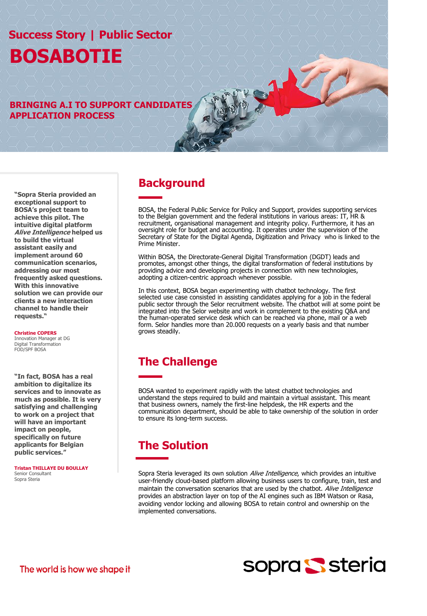# **Success Story | Public Sector BOSABOTIE**

**BRINGING A.I TO SUPPORT CANDIDATES APPLICATION PROCESS**

**"Sopra Steria provided an exceptional support to BOSA's project team to achieve this pilot. The intuitive digital platform Alive Intelligence helped us to build the virtual assistant easily and implement around 60 communication scenarios, addressing our most frequently asked questions. With this innovative solution we can provide our clients a new interaction channel to handle their requests."** 

#### **Christine COPERS**

Innovation Manager at DG Digital Transformation FOD/SPF BOSA

**"In fact, BOSA has a real ambition to digitalize its services and to innovate as much as possible. It is very satisfying and challenging to work on a project that will have an important impact on people, specifically on future applicants for Belgian public services."** 

**Tristan THILLAYE DU BOULLAY**  Senior Consultant Sopra Steria

#### **Background**

BOSA, the Federal Public Service for Policy and Support, provides supporting services to the Belgian government and the federal institutions in various areas: IT, HR & recruitment, organisational management and integrity policy. Furthermore, it has an oversight role for budget and accounting. It operates under the supervision of the Secretary of State for the Digital Agenda, Digitization and Privacy who is linked to the Prime Minister.

Within BOSA, the Directorate-General Digital Transformation (DGDT) leads and promotes, amongst other things, the digital transformation of federal institutions by providing advice and developing projects in connection with new technologies, adopting a citizen-centric approach whenever possible.

In this context, BOSA began experimenting with chatbot technology. The first selected use case consisted in assisting candidates applying for a job in the federal public sector through the Selor recruitment website. The chatbot will at some point be integrated into the Selor website and work in complement to the existing Q&A and the human-operated service desk which can be reached via phone, mail or a web form. Selor handles more than 20.000 requests on a yearly basis and that number grows steadily.

### **The Challenge**

BOSA wanted to experiment rapidly with the latest chatbot technologies and understand the steps required to build and maintain a virtual assistant. This meant that business owners, namely the first-line helpdesk, the HR experts and the communication department, should be able to take ownership of the solution in order to ensure its long-term success.

## **The Solution**

Sopra Steria leveraged its own solution Alive Intelligence, which provides an intuitive user-friendly cloud-based platform allowing business users to configure, train, test and maintain the conversation scenarios that are used by the chatbot. Alive Intelligence provides an abstraction layer on top of the AI engines such as IBM Watson or Rasa, avoiding vendor locking and allowing BOSA to retain control and ownership on the implemented conversations.